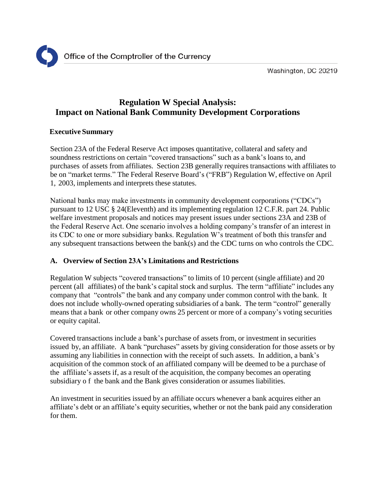

Washington, DC 20219

# **Regulation W Special Analysis: Impact on National Bank Community Development Corporations**

### **Executive Summary**

Section 23A of the Federal Reserve Act imposes quantitative, collateral and safety and soundness restrictions on certain "covered transactions" such as a bank's loans to, and purchases of assets from affiliates. Section 23B generally requires transactions with affiliates to be on "market terms." The Federal Reserve Board's ("FRB") Regulation W, effective on April 1, 2003, implements and interprets these statutes.

National banks may make investments in community development corporations ("CDCs") pursuant to 12 USC § 24(Eleventh) and its implementing regulation 12 C.F.R. part 24. Public welfare investment proposals and notices may present issues under sections 23A and 23B of the Federal Reserve Act. One scenario involves a holding company's transfer of an interest in its CDC to one or more subsidiary banks. Regulation W's treatment of both this transfer and any subsequent transactions between the bank(s) and the CDC turns on who controls the CDC.

# **A. Overview of Section 23A's Limitations and Restrictions**

Regulation W subjects "covered transactions" to limits of 10 percent (single affiliate) and 20 percent (all affiliates) of the bank's capital stock and surplus. The term "affiliate" includes any company that "controls" the bank and any company under common control with the bank. It does not include wholly-owned operating subsidiaries of a bank. The term "control" generally means that a bank or other company owns 25 percent or more of a company's voting securities or equity capital.

Covered transactions include a bank's purchase of assets from, or investment in securities issued by, an affiliate. A bank "purchases" assets by giving consideration for those assets or by assuming any liabilities in connection with the receipt of such assets. In addition, a bank's acquisition of the common stock of an affiliated company will be deemed to be a purchase of the affiliate's assets if, as a result of the acquisition, the company becomes an operating subsidiary o f the bank and the Bank gives consideration or assumes liabilities.

An investment in securities issued by an affiliate occurs whenever a bank acquires either an affiliate's debt or an affiliate's equity securities, whether or not the bank paid any consideration for them.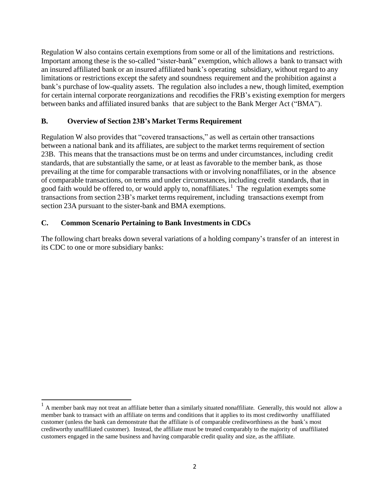Regulation W also contains certain exemptions from some or all of the limitations and restrictions. Important among these is the so-called "sister-bank" exemption, which allows a bank to transact with an insured affiliated bank or an insured affiliated bank's operating subsidiary, without regard to any limitations or restrictions except the safety and soundness requirement and the prohibition against a bank's purchase of low-quality assets. The regulation also includes a new, though limited, exemption for certain internal corporate reorganizations and recodifies the FRB's existing exemption for mergers between banks and affiliated insured banks that are subject to the Bank Merger Act ("BMA").

## **B. Overview of Section 23B's Market Terms Requirement**

Regulation W also provides that "covered transactions," as well as certain other transactions between a national bank and its affiliates, are subject to the market terms requirement of section 23B. This means that the transactions must be on terms and under circumstances, including credit standards, that are substantially the same, or at least as favorable to the member bank, as those prevailing at the time for comparable transactions with or involving nonaffiliates, or in the absence of comparable transactions, on terms and under circumstances, including credit standards, that in good faith would be offered to, or would apply to, nonaffiliates[.](#page-1-0)<sup>1</sup> The regulation exempts some transactions from section 23B's market terms requirement, including transactions exempt from section 23A pursuant to the sister-bank and BMA exemptions.

# **C. Common Scenario Pertaining to Bank Investments in CDCs**

The following chart breaks down several variations of a holding company's transfer of an interest in its CDC to one or more subsidiary banks:

<span id="page-1-0"></span><sup>1</sup> A member bank may not treat an affiliate better than a similarly situated nonaffiliate. Generally, this would not allow a member bank to transact with an affiliate on terms and conditions that it applies to its most creditworthy unaffiliated customer (unless the bank can demonstrate that the affiliate is of comparable creditworthiness as the bank's most creditworthy unaffiliated customer). Instead, the affiliate must be treated comparably to the majority of unaffiliated customers engaged in the same business and having comparable credit quality and size, as the affiliate.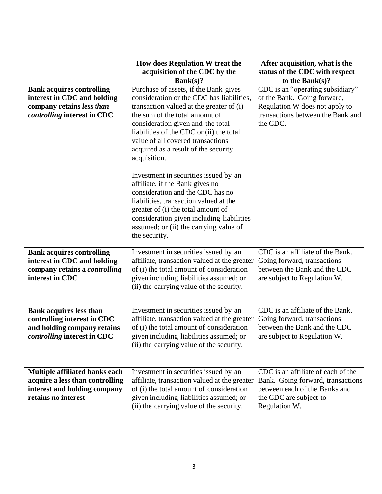|                                                                                                                             | How does Regulation W treat the<br>acquisition of the CDC by the<br>Bank(s)?                                                                                                                                                                                                                                                                                                                                                                                                                                                                                                                                                                           | After acquisition, what is the<br>status of the CDC with respect<br>to the Bank $(s)$ ?                                                             |
|-----------------------------------------------------------------------------------------------------------------------------|--------------------------------------------------------------------------------------------------------------------------------------------------------------------------------------------------------------------------------------------------------------------------------------------------------------------------------------------------------------------------------------------------------------------------------------------------------------------------------------------------------------------------------------------------------------------------------------------------------------------------------------------------------|-----------------------------------------------------------------------------------------------------------------------------------------------------|
| <b>Bank acquires controlling</b><br>interest in CDC and holding<br>company retains less than<br>controlling interest in CDC | Purchase of assets, if the Bank gives<br>consideration or the CDC has liabilities,<br>transaction valued at the greater of (i)<br>the sum of the total amount of<br>consideration given and the total<br>liabilities of the CDC or (ii) the total<br>value of all covered transactions<br>acquired as a result of the security<br>acquisition.<br>Investment in securities issued by an<br>affiliate, if the Bank gives no<br>consideration and the CDC has no<br>liabilities, transaction valued at the<br>greater of (i) the total amount of<br>consideration given including liabilities<br>assumed; or (ii) the carrying value of<br>the security. | CDC is an "operating subsidiary"<br>of the Bank. Going forward,<br>Regulation W does not apply to<br>transactions between the Bank and<br>the CDC.  |
| <b>Bank acquires controlling</b><br>interest in CDC and holding<br>company retains a controlling<br>interest in CDC         | Investment in securities issued by an<br>affiliate, transaction valued at the greater<br>of (i) the total amount of consideration<br>given including liabilities assumed; or<br>(ii) the carrying value of the security.                                                                                                                                                                                                                                                                                                                                                                                                                               | CDC is an affiliate of the Bank.<br>Going forward, transactions<br>between the Bank and the CDC<br>are subject to Regulation W.                     |
| <b>Bank acquires less than</b><br>controlling interest in CDC<br>and holding company retains<br>controlling interest in CDC | Investment in securities issued by an<br>affiliate, transaction valued at the greater<br>of (i) the total amount of consideration<br>given including liabilities assumed; or<br>(ii) the carrying value of the security.                                                                                                                                                                                                                                                                                                                                                                                                                               | CDC is an affiliate of the Bank.<br>Going forward, transactions<br>between the Bank and the CDC<br>are subject to Regulation W.                     |
| Multiple affiliated banks each<br>acquire a less than controlling<br>interest and holding company<br>retains no interest    | Investment in securities issued by an<br>affiliate, transaction valued at the greater<br>of (i) the total amount of consideration<br>given including liabilities assumed; or<br>(ii) the carrying value of the security.                                                                                                                                                                                                                                                                                                                                                                                                                               | CDC is an affiliate of each of the<br>Bank. Going forward, transactions<br>between each of the Banks and<br>the CDC are subject to<br>Regulation W. |